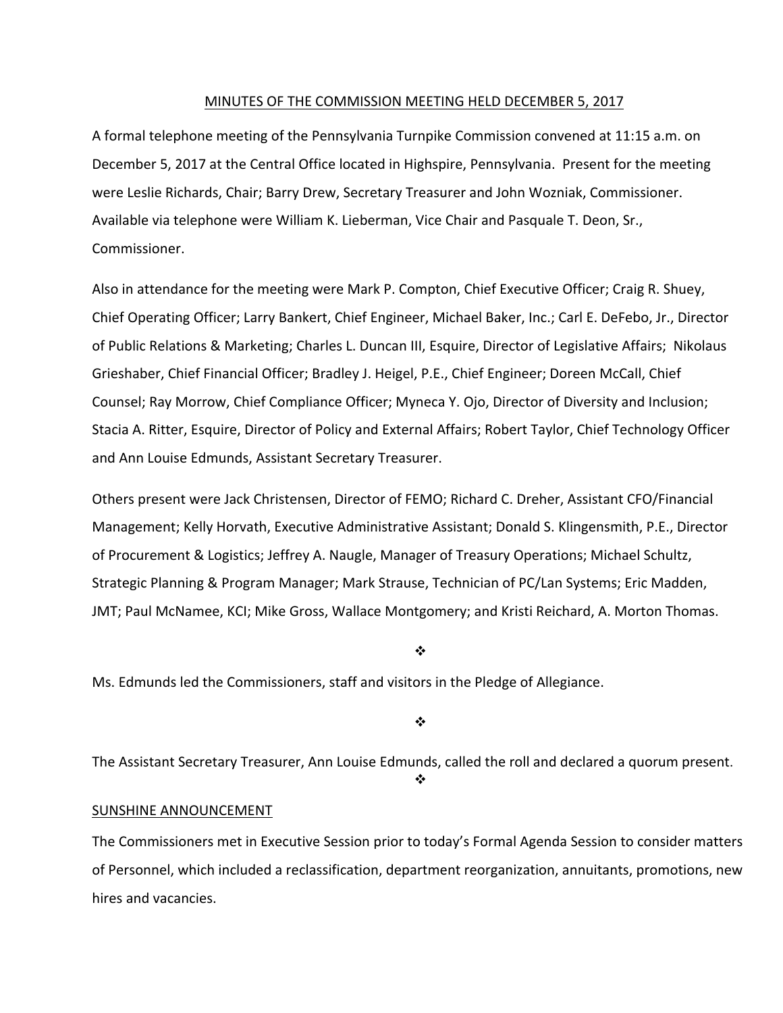#### MINUTES OF THE COMMISSION MEETING HELD DECEMBER 5, 2017

A formal telephone meeting of the Pennsylvania Turnpike Commission convened at 11:15 a.m. on December 5, 2017 at the Central Office located in Highspire, Pennsylvania. Present for the meeting were Leslie Richards, Chair; Barry Drew, Secretary Treasurer and John Wozniak, Commissioner. Available via telephone were William K. Lieberman, Vice Chair and Pasquale T. Deon, Sr., Commissioner.

Also in attendance for the meeting were Mark P. Compton, Chief Executive Officer; Craig R. Shuey, Chief Operating Officer; Larry Bankert, Chief Engineer, Michael Baker, Inc.; Carl E. DeFebo, Jr., Director of Public Relations & Marketing; Charles L. Duncan III, Esquire, Director of Legislative Affairs; Nikolaus Grieshaber, Chief Financial Officer; Bradley J. Heigel, P.E., Chief Engineer; Doreen McCall, Chief Counsel; Ray Morrow, Chief Compliance Officer; Myneca Y. Ojo, Director of Diversity and Inclusion; Stacia A. Ritter, Esquire, Director of Policy and External Affairs; Robert Taylor, Chief Technology Officer and Ann Louise Edmunds, Assistant Secretary Treasurer.

Others present were Jack Christensen, Director of FEMO; Richard C. Dreher, Assistant CFO/Financial Management; Kelly Horvath, Executive Administrative Assistant; Donald S. Klingensmith, P.E., Director of Procurement & Logistics; Jeffrey A. Naugle, Manager of Treasury Operations; Michael Schultz, Strategic Planning & Program Manager; Mark Strause, Technician of PC/Lan Systems; Eric Madden, JMT; Paul McNamee, KCI; Mike Gross, Wallace Montgomery; and Kristi Reichard, A. Morton Thomas.

#### ❖

Ms. Edmunds led the Commissioners, staff and visitors in the Pledge of Allegiance.

❖

The Assistant Secretary Treasurer, Ann Louise Edmunds, called the roll and declared a quorum present.

 $\bullet$ 

#### SUNSHINE ANNOUNCEMENT

The Commissioners met in Executive Session prior to today's Formal Agenda Session to consider matters of Personnel, which included a reclassification, department reorganization, annuitants, promotions, new hires and vacancies.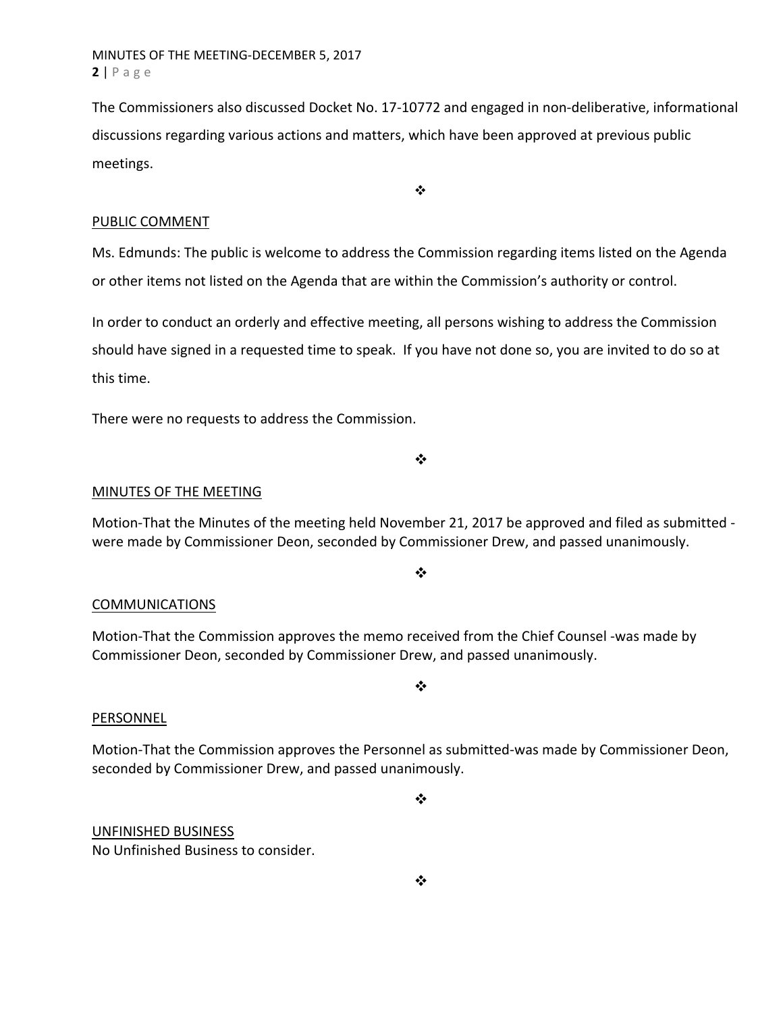The Commissioners also discussed Docket No. 17‐10772 and engaged in non‐deliberative, informational discussions regarding various actions and matters, which have been approved at previous public meetings.

 $\ddot{\bullet}$ 

#### PUBLIC COMMENT

Ms. Edmunds: The public is welcome to address the Commission regarding items listed on the Agenda or other items not listed on the Agenda that are within the Commission's authority or control.

In order to conduct an orderly and effective meeting, all persons wishing to address the Commission should have signed in a requested time to speak. If you have not done so, you are invited to do so at this time.

There were no requests to address the Commission.

❖

# MINUTES OF THE MEETING

Motion‐That the Minutes of the meeting held November 21, 2017 be approved and filed as submitted ‐ were made by Commissioner Deon, seconded by Commissioner Drew, and passed unanimously.

 $\cdot$ 

#### **COMMUNICATIONS**

Motion‐That the Commission approves the memo received from the Chief Counsel ‐was made by Commissioner Deon, seconded by Commissioner Drew, and passed unanimously.

 $\cdot$ 

#### PERSONNEL

Motion‐That the Commission approves the Personnel as submitted‐was made by Commissioner Deon, seconded by Commissioner Drew, and passed unanimously.

 $\bullet^{\bullet}_{\bullet} \bullet$ 

UNFINISHED BUSINESS

No Unfinished Business to consider.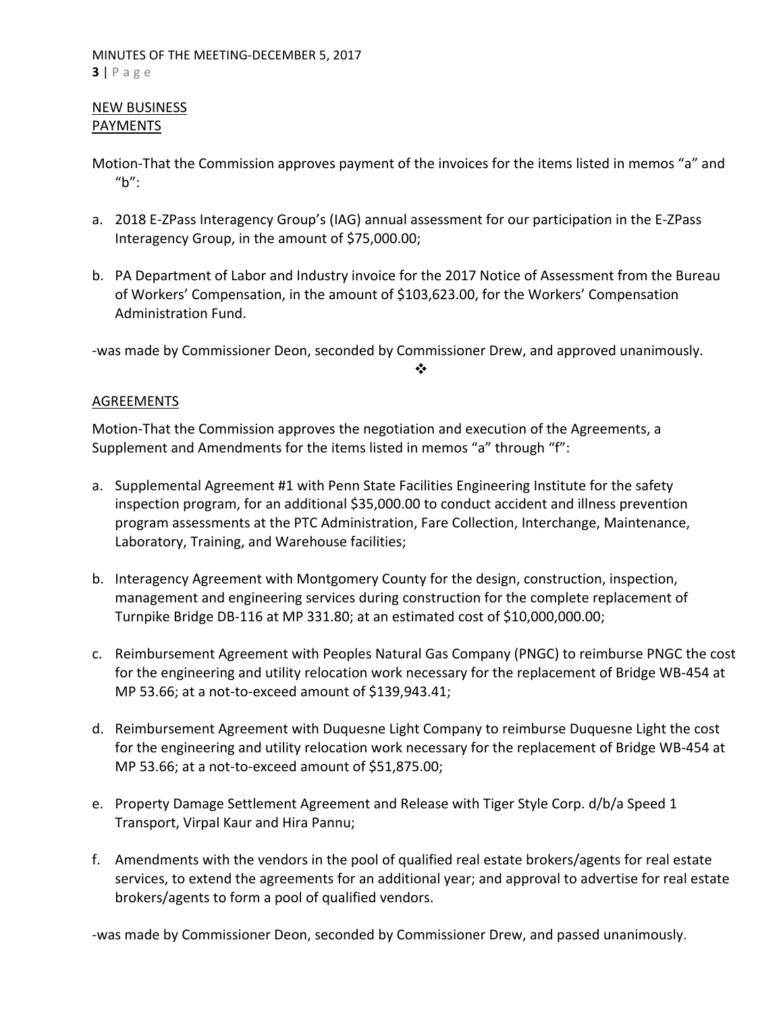# NEW BUSINESS PAYMENTS

- Motion‐That the Commission approves payment of the invoices for the items listed in memos "a" and "b":
- a. 2018 E-ZPass Interagency Group's (IAG) annual assessment for our participation in the E-ZPass Interagency Group, in the amount of \$75,000.00;
- b. PA Department of Labor and Industry invoice for the 2017 Notice of Assessment from the Bureau of Workers' Compensation, in the amount of \$103,623.00, for the Workers' Compensation Administration Fund.

‐was made by Commissioner Deon, seconded by Commissioner Drew, and approved unanimously.

 $\frac{1}{2}$ 

# AGREEMENTS

Motion‐That the Commission approves the negotiation and execution of the Agreements, a Supplement and Amendments for the items listed in memos "a" through "f":

- a. Supplemental Agreement #1 with Penn State Facilities Engineering Institute for the safety inspection program, for an additional \$35,000.00 to conduct accident and illness prevention program assessments at the PTC Administration, Fare Collection, Interchange, Maintenance, Laboratory, Training, and Warehouse facilities;
- b. Interagency Agreement with Montgomery County for the design, construction, inspection, management and engineering services during construction for the complete replacement of Turnpike Bridge DB‐116 at MP 331.80; at an estimated cost of \$10,000,000.00;
- c. Reimbursement Agreement with Peoples Natural Gas Company (PNGC) to reimburse PNGC the cost for the engineering and utility relocation work necessary for the replacement of Bridge WB‐454 at MP 53.66; at a not‐to‐exceed amount of \$139,943.41;
- d. Reimbursement Agreement with Duquesne Light Company to reimburse Duquesne Light the cost for the engineering and utility relocation work necessary for the replacement of Bridge WB‐454 at MP 53.66; at a not‐to‐exceed amount of \$51,875.00;
- e. Property Damage Settlement Agreement and Release with Tiger Style Corp. d/b/a Speed 1 Transport, Virpal Kaur and Hira Pannu;
- f. Amendments with the vendors in the pool of qualified real estate brokers/agents for real estate services, to extend the agreements for an additional year; and approval to advertise for real estate brokers/agents to form a pool of qualified vendors.

‐was made by Commissioner Deon, seconded by Commissioner Drew, and passed unanimously.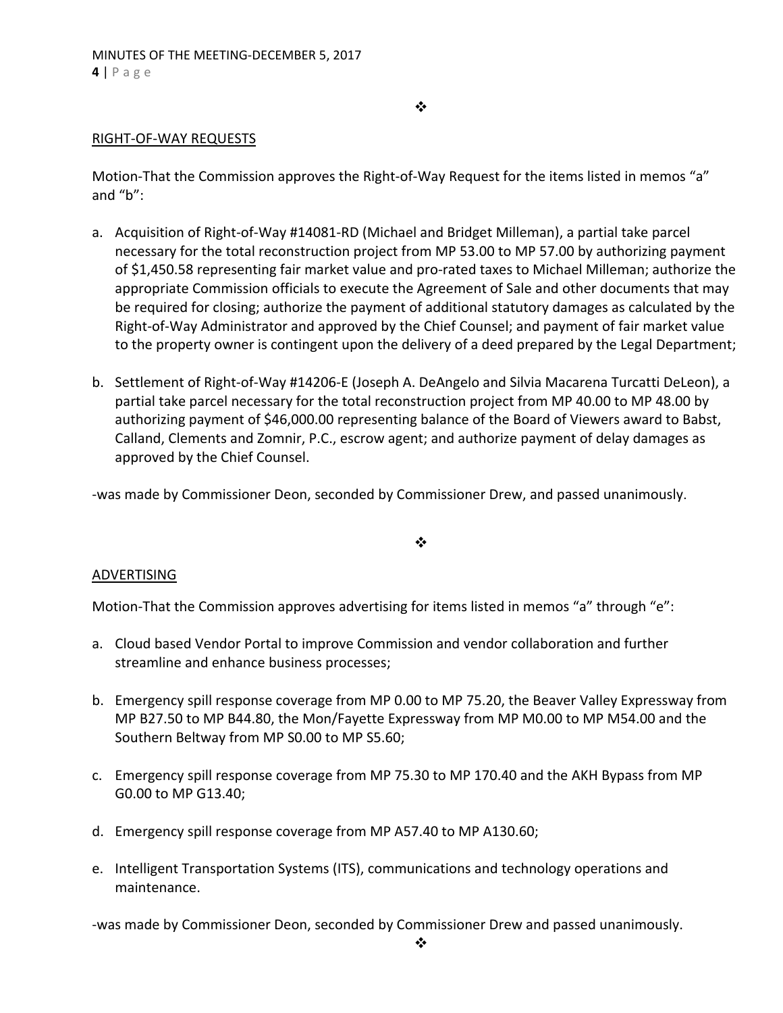$\bullet^{\bullet}_{\bullet} \bullet$ 

# RIGHT‐OF‐WAY REQUESTS

Motion-That the Commission approves the Right-of-Way Request for the items listed in memos "a" and "b":

- a. Acquisition of Right‐of‐Way #14081‐RD (Michael and Bridget Milleman), a partial take parcel necessary for the total reconstruction project from MP 53.00 to MP 57.00 by authorizing payment of \$1,450.58 representing fair market value and pro‐rated taxes to Michael Milleman; authorize the appropriate Commission officials to execute the Agreement of Sale and other documents that may be required for closing; authorize the payment of additional statutory damages as calculated by the Right‐of‐Way Administrator and approved by the Chief Counsel; and payment of fair market value to the property owner is contingent upon the delivery of a deed prepared by the Legal Department;
- b. Settlement of Right‐of‐Way #14206‐E (Joseph A. DeAngelo and Silvia Macarena Turcatti DeLeon), a partial take parcel necessary for the total reconstruction project from MP 40.00 to MP 48.00 by authorizing payment of \$46,000.00 representing balance of the Board of Viewers award to Babst, Calland, Clements and Zomnir, P.C., escrow agent; and authorize payment of delay damages as approved by the Chief Counsel.

‐was made by Commissioner Deon, seconded by Commissioner Drew, and passed unanimously.

❖

#### ADVERTISING

Motion-That the Commission approves advertising for items listed in memos "a" through "e":

- a. Cloud based Vendor Portal to improve Commission and vendor collaboration and further streamline and enhance business processes;
- b. Emergency spill response coverage from MP 0.00 to MP 75.20, the Beaver Valley Expressway from MP B27.50 to MP B44.80, the Mon/Fayette Expressway from MP M0.00 to MP M54.00 and the Southern Beltway from MP S0.00 to MP S5.60;
- c. Emergency spill response coverage from MP 75.30 to MP 170.40 and the AKH Bypass from MP G0.00 to MP G13.40;
- d. Emergency spill response coverage from MP A57.40 to MP A130.60;
- e. Intelligent Transportation Systems (ITS), communications and technology operations and maintenance.

‐was made by Commissioner Deon, seconded by Commissioner Drew and passed unanimously.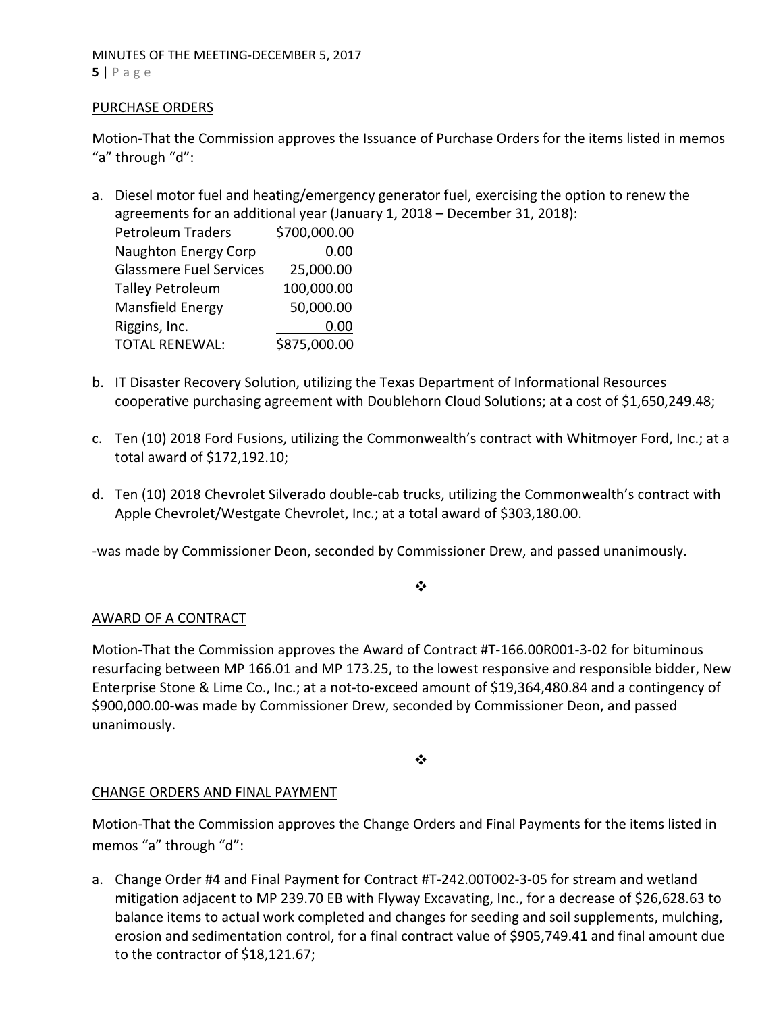#### MINUTES OF THE MEETING‐DECEMBER 5, 2017 **5** | Page

#### PURCHASE ORDERS

Motion‐That the Commission approves the Issuance of Purchase Orders for the items listed in memos "a" through "d":

a. Diesel motor fuel and heating/emergency generator fuel, exercising the option to renew the agreements for an additional year (January 1, 2018 – December 31, 2018):

| <b>Petroleum Traders</b>       | \$700,000.00 |
|--------------------------------|--------------|
| <b>Naughton Energy Corp</b>    | 0.00         |
| <b>Glassmere Fuel Services</b> | 25,000.00    |
| <b>Talley Petroleum</b>        | 100,000.00   |
| Mansfield Energy               | 50,000.00    |
| Riggins, Inc.                  | 0.00         |
| <b>TOTAL RENEWAL:</b>          | \$875,000.00 |

- b. IT Disaster Recovery Solution, utilizing the Texas Department of Informational Resources cooperative purchasing agreement with Doublehorn Cloud Solutions; at a cost of \$1,650,249.48;
- c. Ten (10) 2018 Ford Fusions, utilizing the Commonwealth's contract with Whitmoyer Ford, Inc.; at a total award of \$172,192.10;
- d. Ten (10) 2018 Chevrolet Silverado double‐cab trucks, utilizing the Commonwealth's contract with Apple Chevrolet/Westgate Chevrolet, Inc.; at a total award of \$303,180.00.

‐was made by Commissioner Deon, seconded by Commissioner Drew, and passed unanimously.

 $\frac{1}{2}$ 

# AWARD OF A CONTRACT

Motion‐That the Commission approves the Award of Contract #T‐166.00R001‐3‐02 for bituminous resurfacing between MP 166.01 and MP 173.25, to the lowest responsive and responsible bidder, New Enterprise Stone & Lime Co., Inc.; at a not-to-exceed amount of \$19,364,480.84 and a contingency of \$900,000.00‐was made by Commissioner Drew, seconded by Commissioner Deon, and passed unanimously.

 $\cdot$ 

# CHANGE ORDERS AND FINAL PAYMENT

Motion‐That the Commission approves the Change Orders and Final Payments for the items listed in memos "a" through "d":

a. Change Order #4 and Final Payment for Contract #T‐242.00T002‐3‐05 for stream and wetland mitigation adjacent to MP 239.70 EB with Flyway Excavating, Inc., for a decrease of \$26,628.63 to balance items to actual work completed and changes for seeding and soil supplements, mulching, erosion and sedimentation control, for a final contract value of \$905,749.41 and final amount due to the contractor of \$18,121.67;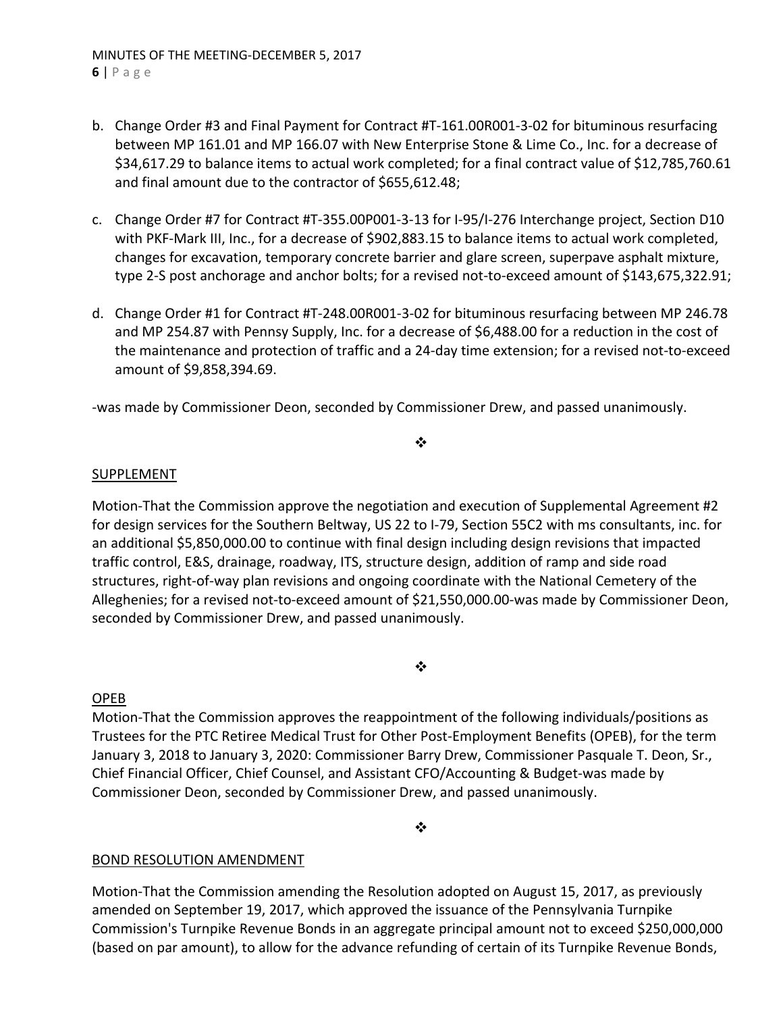- b. Change Order #3 and Final Payment for Contract #T‐161.00R001‐3‐02 for bituminous resurfacing between MP 161.01 and MP 166.07 with New Enterprise Stone & Lime Co., Inc. for a decrease of \$34,617.29 to balance items to actual work completed; for a final contract value of \$12,785,760.61 and final amount due to the contractor of \$655,612.48;
- c. Change Order #7 for Contract #T‐355.00P001‐3‐13 for I‐95/I‐276 Interchange project, Section D10 with PKF-Mark III, Inc., for a decrease of \$902,883.15 to balance items to actual work completed, changes for excavation, temporary concrete barrier and glare screen, superpave asphalt mixture, type 2‐S post anchorage and anchor bolts; for a revised not‐to‐exceed amount of \$143,675,322.91;
- d. Change Order #1 for Contract #T‐248.00R001‐3‐02 for bituminous resurfacing between MP 246.78 and MP 254.87 with Pennsy Supply, Inc. for a decrease of \$6,488.00 for a reduction in the cost of the maintenance and protection of traffic and a 24‐day time extension; for a revised not‐to‐exceed amount of \$9,858,394.69.

‐was made by Commissioner Deon, seconded by Commissioner Drew, and passed unanimously.

# $\cdot$

# SUPPLEMENT

Motion-That the Commission approve the negotiation and execution of Supplemental Agreement #2 for design services for the Southern Beltway, US 22 to I‐79, Section 55C2 with ms consultants, inc. for an additional \$5,850,000.00 to continue with final design including design revisions that impacted traffic control, E&S, drainage, roadway, ITS, structure design, addition of ramp and side road structures, right‐of‐way plan revisions and ongoing coordinate with the National Cemetery of the Alleghenies; for a revised not-to-exceed amount of \$21,550,000.00-was made by Commissioner Deon, seconded by Commissioner Drew, and passed unanimously.

#### ❖

# OPEB

Motion‐That the Commission approves the reappointment of the following individuals/positions as Trustees for the PTC Retiree Medical Trust for Other Post‐Employment Benefits (OPEB), for the term January 3, 2018 to January 3, 2020: Commissioner Barry Drew, Commissioner Pasquale T. Deon, Sr., Chief Financial Officer, Chief Counsel, and Assistant CFO/Accounting & Budget‐was made by Commissioner Deon, seconded by Commissioner Drew, and passed unanimously.

❖

# BOND RESOLUTION AMENDMENT

Motion‐That the Commission amending the Resolution adopted on August 15, 2017, as previously amended on September 19, 2017, which approved the issuance of the Pennsylvania Turnpike Commission's Turnpike Revenue Bonds in an aggregate principal amount not to exceed \$250,000,000 (based on par amount), to allow for the advance refunding of certain of its Turnpike Revenue Bonds,